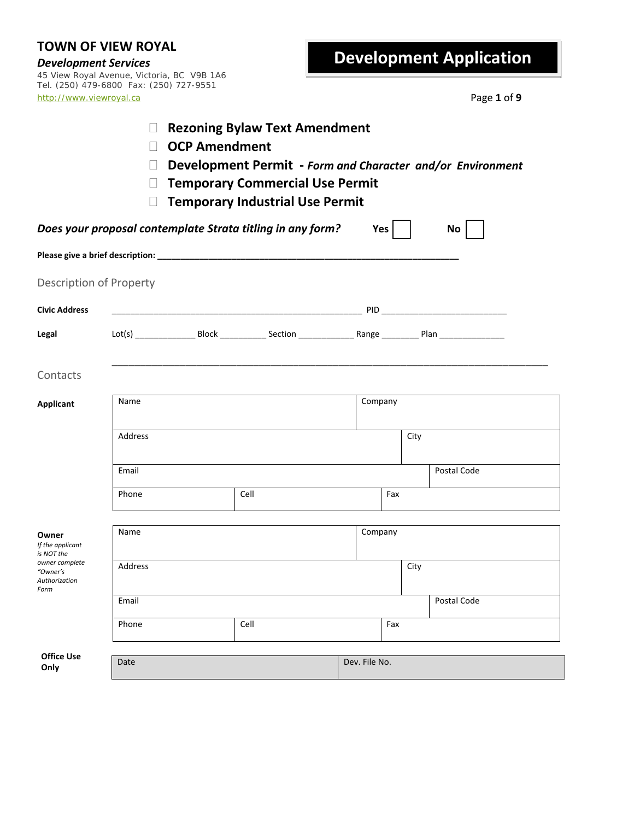*Development Services* 45 View Royal Avenue, Victoria, BC V9B 1A6 Tel. (250) 479-6800 Fax: (250) 727-9551 http://www.viewroyal.ca Page **1** of **9**

| <b>Rezoning Bylaw Text Amendment</b><br><b>OCP Amendment</b><br>Development Permit - Form and Character and/or Environment<br><b>Temporary Commercial Use Permit</b><br><b>Temporary Industrial Use Permit</b> |         |      |                                                            |               |            |             |                 |
|----------------------------------------------------------------------------------------------------------------------------------------------------------------------------------------------------------------|---------|------|------------------------------------------------------------|---------------|------------|-------------|-----------------|
|                                                                                                                                                                                                                |         |      | Does your proposal contemplate Strata titling in any form? |               | $Yes \mid$ |             | No <sub>1</sub> |
|                                                                                                                                                                                                                |         |      |                                                            |               |            |             |                 |
| Description of Property                                                                                                                                                                                        |         |      |                                                            |               |            |             |                 |
| <b>Civic Address</b>                                                                                                                                                                                           |         |      |                                                            |               |            |             |                 |
| Legal                                                                                                                                                                                                          |         |      |                                                            |               |            |             |                 |
| Contacts                                                                                                                                                                                                       |         |      |                                                            |               |            |             |                 |
| <b>Applicant</b>                                                                                                                                                                                               | Name    |      |                                                            |               | Company    |             |                 |
|                                                                                                                                                                                                                | Address |      |                                                            |               |            | City        |                 |
|                                                                                                                                                                                                                | Email   |      |                                                            |               |            | Postal Code |                 |
|                                                                                                                                                                                                                | Phone   |      | Cell                                                       |               | Fax        |             |                 |
| Owner<br>If the applicant<br>is NOT the                                                                                                                                                                        | Name    |      |                                                            |               | Company    |             |                 |
| owner complete<br>"Owner's<br>Authorization<br>Form                                                                                                                                                            | Address |      |                                                            |               |            | City        |                 |
|                                                                                                                                                                                                                | Email   |      |                                                            |               |            |             | Postal Code     |
|                                                                                                                                                                                                                | Phone   | Cell |                                                            |               | Fax        |             |                 |
| <b>Office Use</b><br>Only                                                                                                                                                                                      | Date    |      |                                                            | Dev. File No. |            |             |                 |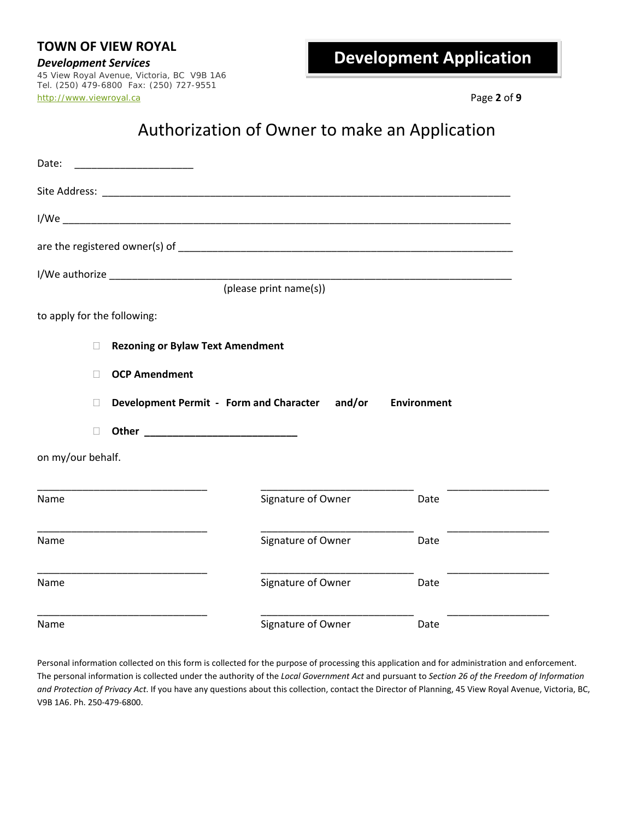*Development Services* 45 View Royal Avenue, Victoria, BC V9B 1A6 Tel. (250) 479-6800 Fax: (250) 727-9551 http://www.viewroyal.ca Page **2** of **9**

## Authorization of Owner to make an Application

| Date:                       |                                                                      |                        |      |  |  |  |  |
|-----------------------------|----------------------------------------------------------------------|------------------------|------|--|--|--|--|
|                             |                                                                      |                        |      |  |  |  |  |
|                             |                                                                      |                        |      |  |  |  |  |
|                             |                                                                      |                        |      |  |  |  |  |
|                             |                                                                      |                        |      |  |  |  |  |
|                             |                                                                      | (please print name(s)) |      |  |  |  |  |
| to apply for the following: |                                                                      |                        |      |  |  |  |  |
|                             | <b>Rezoning or Bylaw Text Amendment</b>                              |                        |      |  |  |  |  |
|                             | <b>OCP Amendment</b>                                                 |                        |      |  |  |  |  |
|                             | Development Permit - Form and Character and/or<br><b>Environment</b> |                        |      |  |  |  |  |
|                             | Other <b>Committee Committee Committee Committee</b>                 |                        |      |  |  |  |  |
| on my/our behalf.           |                                                                      |                        |      |  |  |  |  |
| Name                        |                                                                      | Signature of Owner     | Date |  |  |  |  |
| Name                        |                                                                      | Signature of Owner     | Date |  |  |  |  |
| Name                        |                                                                      | Signature of Owner     | Date |  |  |  |  |
| Name                        |                                                                      | Signature of Owner     | Date |  |  |  |  |

Personal information collected on this form is collected for the purpose of processing this application and for administration and enforcement. The personal information is collected under the authority of the *Local Government Act* and pursuant to *Section 26 of the Freedom of Information and Protection of Privacy Act*. If you have any questions about this collection, contact the Director of Planning, 45 View Royal Avenue, Victoria, BC, V9B 1A6. Ph. 250‐479‐6800.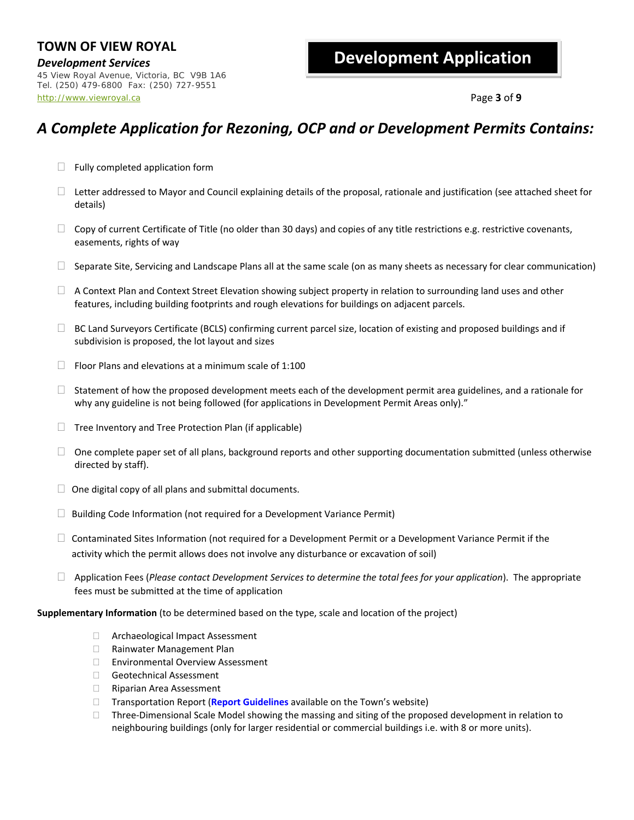*Development Services* 45 View Royal Avenue, Victoria, BC V9B 1A6 Tel. (250) 479-6800 Fax: (250) 727-9551 http://www.viewroyal.ca Page **3** of **9**

### **Development Application**

### *A Complete Application for Rezoning, OCP and or Development Permits Contains:*

- $\Box$  Fully completed application form
- $\Box$  Letter addressed to Mayor and Council explaining details of the proposal, rationale and justification (see attached sheet for details)
- $\Box$  Copy of current Certificate of Title (no older than 30 days) and copies of any title restrictions e.g. restrictive covenants, easements, rights of way
- $\Box$  Separate Site, Servicing and Landscape Plans all at the same scale (on as many sheets as necessary for clear communication)
- $\Box$  A Context Plan and Context Street Elevation showing subject property in relation to surrounding land uses and other features, including building footprints and rough elevations for buildings on adjacent parcels.
- □ BC Land Surveyors Certificate (BCLS) confirming current parcel size, location of existing and proposed buildings and if subdivision is proposed, the lot layout and sizes
- $\Box$  Floor Plans and elevations at a minimum scale of 1:100
- $\Box$  Statement of how the proposed development meets each of the development permit area guidelines, and a rationale for why any guideline is not being followed (for applications in Development Permit Areas only)."
- $\Box$  Tree Inventory and Tree Protection Plan (if applicable)
- $\Box$  One complete paper set of all plans, background reports and other supporting documentation submitted (unless otherwise directed by staff).
- $\Box$  One digital copy of all plans and submittal documents.
- $\Box$  Building Code Information (not required for a Development Variance Permit)
- $\Box$  Contaminated Sites Information (not required for a Development Permit or a Development Variance Permit if the activity which the permit allows does not involve any disturbance or excavation of soil)
- Application Fees (*Please contact Development Services to determine the total fees for your application*). The appropriate fees must be submitted at the time of application

**Supplementary Information** (to be determined based on the type, scale and location of the project)

- □ Archaeological Impact Assessment
- □ Rainwater Management Plan
- Environmental Overview Assessment
- □ Geotechnical Assessment
- □ Riparian Area Assessment
- Transportation Report (**Report Guidelines** available on the Town's website)
- $\Box$  Three-Dimensional Scale Model showing the massing and siting of the proposed development in relation to neighbouring buildings [\(only for larger resid](https://www.viewroyal.ca/assets/Town~Hall/Documents-Forms/Engineering/2022%2001%2013%20Transportation%20Report%20Guidelines.pdf)ential or commercial buildings i.e. with 8 or more units).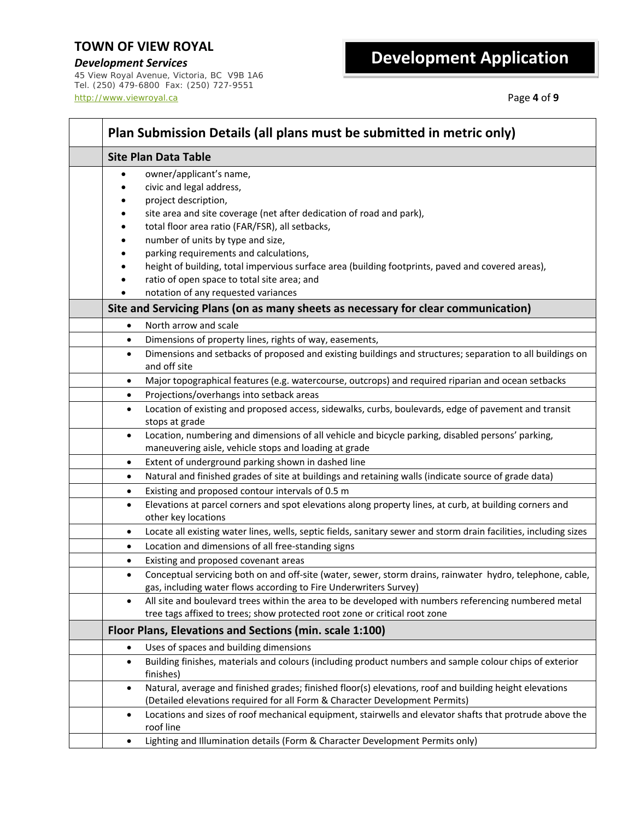*Development Services* 45 View Royal Avenue, Victoria, BC V9B 1A6 Tel. (250) 479-6800 Fax: (250) 727-9551 http://www.viewroyal.ca Page **4** of **9**

| Plan Submission Details (all plans must be submitted in metric only)                                                                                                                                                                                                                                                                                                                                    |  |  |  |  |  |
|---------------------------------------------------------------------------------------------------------------------------------------------------------------------------------------------------------------------------------------------------------------------------------------------------------------------------------------------------------------------------------------------------------|--|--|--|--|--|
| <b>Site Plan Data Table</b>                                                                                                                                                                                                                                                                                                                                                                             |  |  |  |  |  |
| owner/applicant's name,<br>$\bullet$<br>civic and legal address,<br>project description,<br>site area and site coverage (net after dedication of road and park),<br>total floor area ratio (FAR/FSR), all setbacks,<br>number of units by type and size,<br>parking requirements and calculations,<br>height of building, total impervious surface area (building footprints, paved and covered areas), |  |  |  |  |  |
| ratio of open space to total site area; and<br>notation of any requested variances                                                                                                                                                                                                                                                                                                                      |  |  |  |  |  |
| Site and Servicing Plans (on as many sheets as necessary for clear communication)                                                                                                                                                                                                                                                                                                                       |  |  |  |  |  |
| North arrow and scale<br>$\bullet$                                                                                                                                                                                                                                                                                                                                                                      |  |  |  |  |  |
| Dimensions of property lines, rights of way, easements,<br>$\bullet$<br>Dimensions and setbacks of proposed and existing buildings and structures; separation to all buildings on<br>$\bullet$<br>and off site                                                                                                                                                                                          |  |  |  |  |  |
| Major topographical features (e.g. watercourse, outcrops) and required riparian and ocean setbacks<br>$\bullet$                                                                                                                                                                                                                                                                                         |  |  |  |  |  |
| Projections/overhangs into setback areas<br>$\bullet$                                                                                                                                                                                                                                                                                                                                                   |  |  |  |  |  |
| Location of existing and proposed access, sidewalks, curbs, boulevards, edge of pavement and transit<br>$\bullet$<br>stops at grade                                                                                                                                                                                                                                                                     |  |  |  |  |  |
| Location, numbering and dimensions of all vehicle and bicycle parking, disabled persons' parking,<br>$\bullet$<br>maneuvering aisle, vehicle stops and loading at grade                                                                                                                                                                                                                                 |  |  |  |  |  |
| Extent of underground parking shown in dashed line<br>$\bullet$                                                                                                                                                                                                                                                                                                                                         |  |  |  |  |  |
| Natural and finished grades of site at buildings and retaining walls (indicate source of grade data)<br>$\bullet$                                                                                                                                                                                                                                                                                       |  |  |  |  |  |
| Existing and proposed contour intervals of 0.5 m<br>$\bullet$<br>Elevations at parcel corners and spot elevations along property lines, at curb, at building corners and<br>$\bullet$<br>other key locations                                                                                                                                                                                            |  |  |  |  |  |
| Locate all existing water lines, wells, septic fields, sanitary sewer and storm drain facilities, including sizes<br>$\bullet$                                                                                                                                                                                                                                                                          |  |  |  |  |  |
| Location and dimensions of all free-standing signs<br>$\bullet$                                                                                                                                                                                                                                                                                                                                         |  |  |  |  |  |
| Existing and proposed covenant areas<br>$\bullet$                                                                                                                                                                                                                                                                                                                                                       |  |  |  |  |  |
| Conceptual servicing both on and off-site (water, sewer, storm drains, rainwater hydro, telephone, cable,<br>$\bullet$<br>gas, including water flows according to Fire Underwriters Survey)                                                                                                                                                                                                             |  |  |  |  |  |
| All site and boulevard trees within the area to be developed with numbers referencing numbered metal<br>$\bullet$<br>tree tags affixed to trees; show protected root zone or critical root zone                                                                                                                                                                                                         |  |  |  |  |  |
| Floor Plans, Elevations and Sections (min. scale 1:100)                                                                                                                                                                                                                                                                                                                                                 |  |  |  |  |  |
| Uses of spaces and building dimensions<br>٠                                                                                                                                                                                                                                                                                                                                                             |  |  |  |  |  |
| Building finishes, materials and colours (including product numbers and sample colour chips of exterior<br>٠<br>finishes)                                                                                                                                                                                                                                                                               |  |  |  |  |  |
| Natural, average and finished grades; finished floor(s) elevations, roof and building height elevations<br>$\bullet$<br>(Detailed elevations required for all Form & Character Development Permits)                                                                                                                                                                                                     |  |  |  |  |  |
| Locations and sizes of roof mechanical equipment, stairwells and elevator shafts that protrude above the<br>$\bullet$<br>roof line                                                                                                                                                                                                                                                                      |  |  |  |  |  |
| Lighting and Illumination details (Form & Character Development Permits only)<br>٠                                                                                                                                                                                                                                                                                                                      |  |  |  |  |  |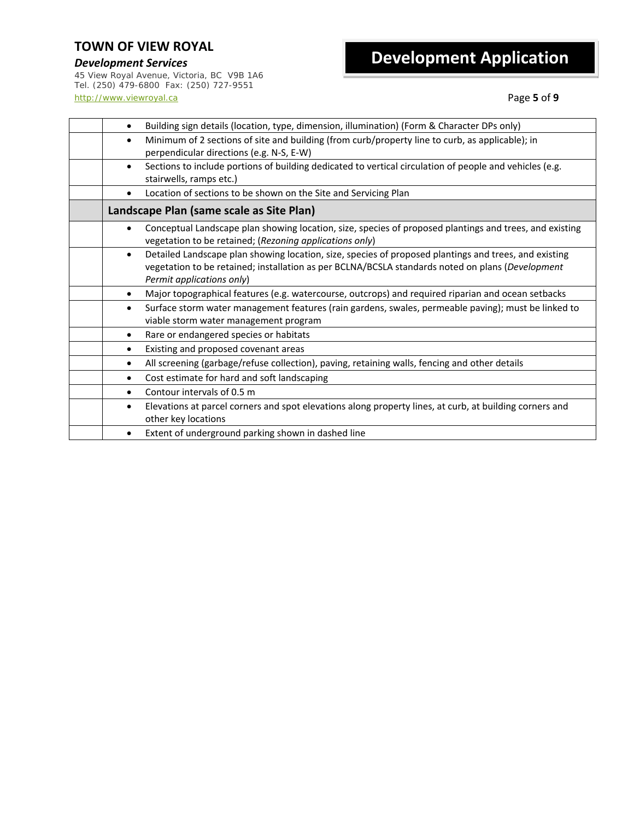*Development Services* 45 View Royal Avenue, Victoria, BC V9B 1A6 Tel. (250) 479-6800 Fax: (250) 727-9551 http://www.viewroyal.ca Page **5** of **9**

| Building sign details (location, type, dimension, illumination) (Form & Character DPs only)<br>$\bullet$                                                                                                                                            |  |
|-----------------------------------------------------------------------------------------------------------------------------------------------------------------------------------------------------------------------------------------------------|--|
| Minimum of 2 sections of site and building (from curb/property line to curb, as applicable); in<br>$\bullet$<br>perpendicular directions (e.g. N-S, E-W)                                                                                            |  |
| Sections to include portions of building dedicated to vertical circulation of people and vehicles (e.g.<br>$\bullet$<br>stairwells, ramps etc.)                                                                                                     |  |
| Location of sections to be shown on the Site and Servicing Plan                                                                                                                                                                                     |  |
| Landscape Plan (same scale as Site Plan)                                                                                                                                                                                                            |  |
| Conceptual Landscape plan showing location, size, species of proposed plantings and trees, and existing<br>$\bullet$<br>vegetation to be retained; (Rezoning applications only)                                                                     |  |
| Detailed Landscape plan showing location, size, species of proposed plantings and trees, and existing<br>$\bullet$<br>vegetation to be retained; installation as per BCLNA/BCSLA standards noted on plans (Development<br>Permit applications only) |  |
| Major topographical features (e.g. watercourse, outcrops) and required riparian and ocean setbacks<br>$\bullet$                                                                                                                                     |  |
| Surface storm water management features (rain gardens, swales, permeable paving); must be linked to<br>$\bullet$<br>viable storm water management program                                                                                           |  |
| Rare or endangered species or habitats<br>$\bullet$                                                                                                                                                                                                 |  |
| Existing and proposed covenant areas                                                                                                                                                                                                                |  |
| All screening (garbage/refuse collection), paving, retaining walls, fencing and other details<br>$\bullet$                                                                                                                                          |  |
| Cost estimate for hard and soft landscaping<br>$\bullet$                                                                                                                                                                                            |  |
| Contour intervals of 0.5 m<br>$\bullet$                                                                                                                                                                                                             |  |
| Elevations at parcel corners and spot elevations along property lines, at curb, at building corners and<br>$\bullet$<br>other key locations                                                                                                         |  |
| Extent of underground parking shown in dashed line<br>$\bullet$                                                                                                                                                                                     |  |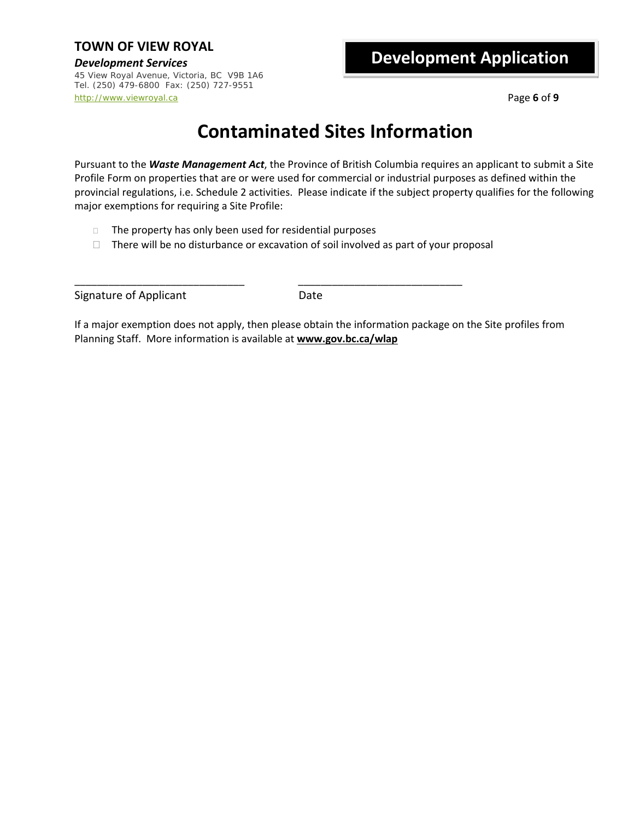*Development Services* 45 View Royal Avenue, Victoria, BC V9B 1A6 Tel. (250) 479-6800 Fax: (250) 727-9551 http://www.viewroyal.ca Page **6** of **9**

## **Development Application**

## **Contaminated Sites Information**

Pursuant to the *Waste Management Act*, the Province of British Columbia requires an applicant to submit a Site Profile Form on properties that are or were used for commercial or industrial purposes as defined within the provincial regulations, i.e. Schedule 2 activities. Please indicate if the subject property qualifies for the following major exemptions for requiring a Site Profile:

- $\Box$  The property has only been used for residential purposes
- $\Box$  There will be no disturbance or excavation of soil involved as part of your proposal

\_\_\_\_\_\_\_\_\_\_\_\_\_\_\_\_\_\_\_\_\_\_\_\_\_\_\_\_\_\_ \_\_\_\_\_\_\_\_\_\_\_\_\_\_\_\_\_\_\_\_\_\_\_\_\_\_\_\_\_

Signature of Applicant **Date** 

If a major exemption does not apply, then please obtain the information package on the Site profiles from Planning Staff. More information is available at **www.gov.bc.ca/wlap**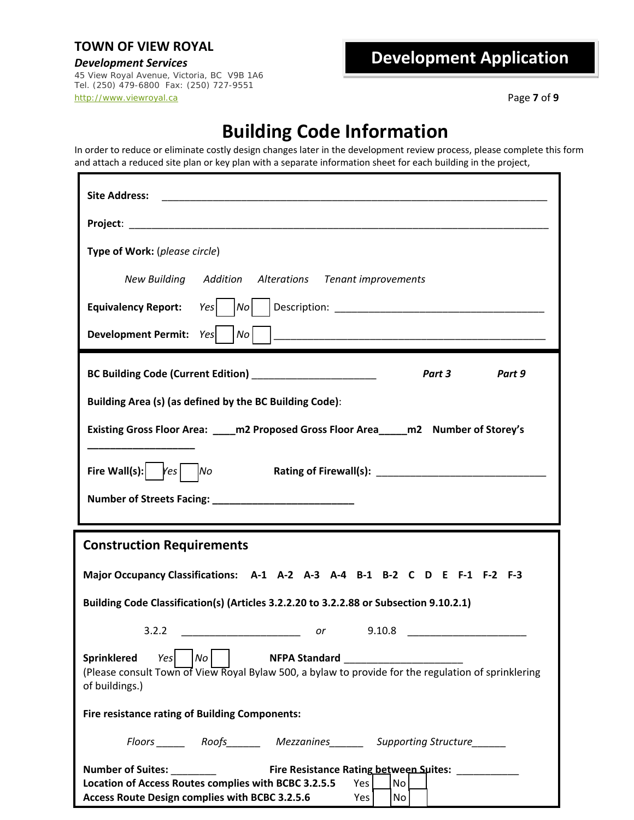*Development Services* 45 View Royal Avenue, Victoria, BC V9B 1A6 Tel. (250) 479-6800 Fax: (250) 727-9551 http://www.viewroyal.ca Page **7** of **9**

## **Development Application**

## **Building Code Information**

In order to reduce or eliminate costly design changes later in the development review process, please complete this form and attach a reduced site plan or key plan with a separate information sheet for each building in the project,

| <b>Site Address:</b>                                                                                                                                                                                                                                                                       |  |  |  |  |  |
|--------------------------------------------------------------------------------------------------------------------------------------------------------------------------------------------------------------------------------------------------------------------------------------------|--|--|--|--|--|
|                                                                                                                                                                                                                                                                                            |  |  |  |  |  |
| Type of Work: (please circle)                                                                                                                                                                                                                                                              |  |  |  |  |  |
| New Building Addition Alterations Tenant improvements                                                                                                                                                                                                                                      |  |  |  |  |  |
| Equivalency Report: Yes     No     Description: ________________________________                                                                                                                                                                                                           |  |  |  |  |  |
| Development Permit: Yes                                                                                                                                                                                                                                                                    |  |  |  |  |  |
| Part 3<br>Part 9                                                                                                                                                                                                                                                                           |  |  |  |  |  |
| Building Area (s) (as defined by the BC Building Code):                                                                                                                                                                                                                                    |  |  |  |  |  |
| Existing Gross Floor Area: ____ m2 Proposed Gross Floor Area_____ m2 Number of Storey's                                                                                                                                                                                                    |  |  |  |  |  |
| Fire Wall(s): $\bigg $ $\bigg $ $\bigg $ $\bigg $ $\bigg $ $\bigg $ $\bigg $ $\bigg $ $\bigg $ $\bigg $ $\bigg $ $\bigg $ $\bigg $ $\bigg $ $\bigg $ $\bigg $ $\bigg $ $\bigg $ $\bigg $ $\bigg $ $\bigg $ $\bigg $ $\bigg $ $\bigg $ $\bigg $ $\bigg $ $\bigg $ $\bigg $ $\bigg $ $\bigg$ |  |  |  |  |  |
|                                                                                                                                                                                                                                                                                            |  |  |  |  |  |
| <b>Construction Requirements</b>                                                                                                                                                                                                                                                           |  |  |  |  |  |
| Major Occupancy Classifications: A-1 A-2 A-3 A-4 B-1 B-2 C D E F-1 F-2 F-3                                                                                                                                                                                                                 |  |  |  |  |  |
| Building Code Classification(s) (Articles 3.2.2.20 to 3.2.2.88 or Subsection 9.10.2.1)                                                                                                                                                                                                     |  |  |  |  |  |
| 3.2.2<br>$\overline{\phantom{a}}$ or<br>9.10.8<br><u> 1990 - Johann Barbara, martin a</u>                                                                                                                                                                                                  |  |  |  |  |  |
| Sprinklered<br>$\vert$ No $\vert$<br>NFPA Standard NFPA Standard<br>Yes<br>(Please consult Town of View Royal Bylaw 500, a bylaw to provide for the regulation of sprinklering<br>of buildings.)                                                                                           |  |  |  |  |  |
| <b>Fire resistance rating of Building Components:</b>                                                                                                                                                                                                                                      |  |  |  |  |  |
| Floors ________ Roofs__________ Mezzanines_________ Supporting Structure_                                                                                                                                                                                                                  |  |  |  |  |  |
|                                                                                                                                                                                                                                                                                            |  |  |  |  |  |
| Location of Access Routes complies with BCBC 3.2.5.5<br>Yes<br>No                                                                                                                                                                                                                          |  |  |  |  |  |
| Access Route Design complies with BCBC 3.2.5.6<br>Yes<br>No                                                                                                                                                                                                                                |  |  |  |  |  |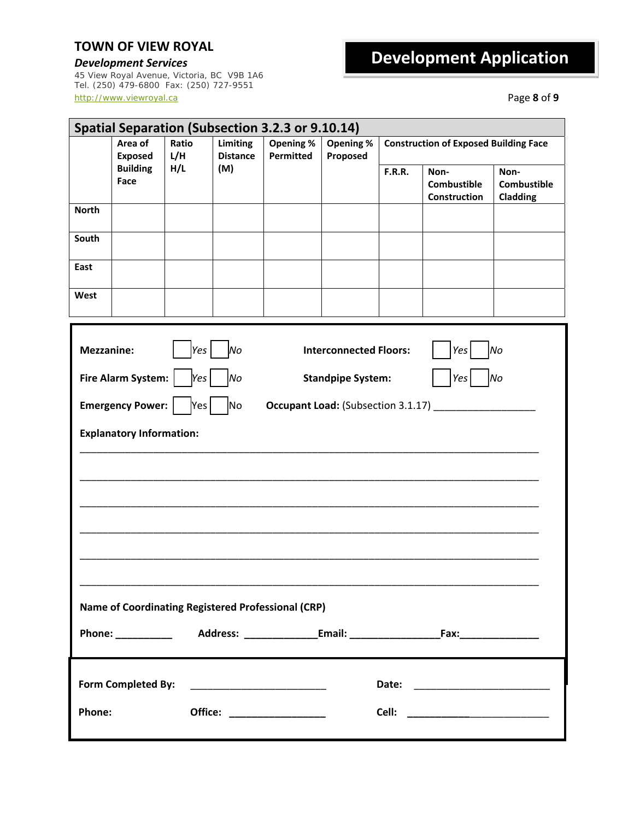*Development Services* 45 View Royal Avenue, Victoria, BC V9B 1A6 Tel. (250) 479-6800 Fax: (250) 727-9551 http://www.viewroyal.ca Page **8** of **9**

| Spatial Separation (Subsection 3.2.3 or 9.10.14)                              |                                     |              |                             |                               |                                    |                                              |                                            |                                        |
|-------------------------------------------------------------------------------|-------------------------------------|--------------|-----------------------------|-------------------------------|------------------------------------|----------------------------------------------|--------------------------------------------|----------------------------------------|
|                                                                               | Area of<br><b>Exposed</b>           | Ratio<br>L/H | Limiting<br><b>Distance</b> | Opening %<br><b>Permitted</b> | Opening %<br>Proposed              | <b>Construction of Exposed Building Face</b> |                                            |                                        |
|                                                                               | <b>Building</b><br>Face             | H/L          | (M)                         |                               |                                    | <b>F.R.R.</b>                                | Non-<br><b>Combustible</b><br>Construction | Non-<br><b>Combustible</b><br>Cladding |
| <b>North</b>                                                                  |                                     |              |                             |                               |                                    |                                              |                                            |                                        |
| South                                                                         |                                     |              |                             |                               |                                    |                                              |                                            |                                        |
| East                                                                          |                                     |              |                             |                               |                                    |                                              |                                            |                                        |
| West                                                                          |                                     |              |                             |                               |                                    |                                              |                                            |                                        |
| <b>Mezzanine:</b><br><b>Interconnected Floors:</b><br>Yes<br>lМо<br>No<br>Yes |                                     |              |                             |                               |                                    |                                              |                                            |                                        |
|                                                                               | Fire Alarm System:                  | Yes          | No                          |                               | <b>Standpipe System:</b>           |                                              | Yes                                        | No                                     |
|                                                                               | <b>Emergency Power:</b>             | Yes          | No                          |                               | Occupant Load: (Subsection 3.1.17) |                                              |                                            |                                        |
|                                                                               | <b>Explanatory Information:</b>     |              |                             |                               |                                    |                                              |                                            |                                        |
|                                                                               |                                     |              |                             |                               |                                    |                                              |                                            |                                        |
|                                                                               |                                     |              |                             |                               |                                    |                                              |                                            |                                        |
|                                                                               |                                     |              |                             |                               |                                    |                                              |                                            |                                        |
|                                                                               |                                     |              |                             |                               |                                    |                                              |                                            |                                        |
|                                                                               |                                     |              |                             |                               |                                    |                                              |                                            |                                        |
| Name of Coordinating Registered Professional (CRP)                            |                                     |              |                             |                               |                                    |                                              |                                            |                                        |
|                                                                               |                                     |              |                             |                               |                                    |                                              |                                            |                                        |
|                                                                               |                                     |              |                             |                               |                                    |                                              |                                            |                                        |
|                                                                               | Phone:<br>Office: _________________ |              |                             |                               |                                    |                                              |                                            |                                        |